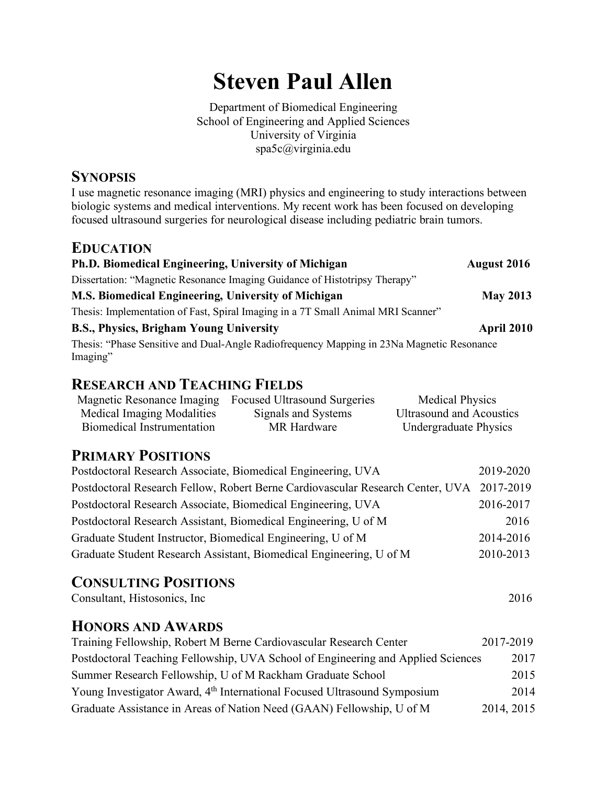# **Steven Paul Allen**

Department of Biomedical Engineering School of Engineering and Applied Sciences University of Virginia spa5c@virginia.edu

## **SYNOPSIS**

I use magnetic resonance imaging (MRI) physics and engineering to study interactions between biologic systems and medical interventions. My recent work has been focused on developing focused ultrasound surgeries for neurological disease including pediatric brain tumors.

#### **EDUCATION**

| <b>Ph.D. Biomedical Engineering, University of Michigan</b>                                           | <b>August 2016</b> |
|-------------------------------------------------------------------------------------------------------|--------------------|
| Dissertation: "Magnetic Resonance Imaging Guidance of Histotripsy Therapy"                            |                    |
| M.S. Biomedical Engineering, University of Michigan                                                   | <b>May 2013</b>    |
| Thesis: Implementation of Fast, Spiral Imaging in a 7T Small Animal MRI Scanner"                      |                    |
| <b>B.S., Physics, Brigham Young University</b>                                                        | April 2010         |
| Thesis: "Phase Sensitive and Dual-Angle Radiofrequency Mapping in 23Na Magnetic Resonance<br>Imaging" |                    |

## **RESEARCH AND TEACHING FIELDS**

|                            | Magnetic Resonance Imaging Focused Ultrasound Surgeries | <b>Medical Physics</b>          |
|----------------------------|---------------------------------------------------------|---------------------------------|
| Medical Imaging Modalities | Signals and Systems                                     | <b>Ultrasound and Acoustics</b> |
| Biomedical Instrumentation | MR Hardware                                             | <b>Undergraduate Physics</b>    |

# **PRIMARY POSITIONS**

| Postdoctoral Research Associate, Biomedical Engineering, UVA                             | 2019-2020 |
|------------------------------------------------------------------------------------------|-----------|
| Postdoctoral Research Fellow, Robert Berne Cardiovascular Research Center, UVA 2017-2019 |           |
| Postdoctoral Research Associate, Biomedical Engineering, UVA                             | 2016-2017 |
| Postdoctoral Research Assistant, Biomedical Engineering, U of M                          | 2016      |
| Graduate Student Instructor, Biomedical Engineering, U of M                              | 2014-2016 |
| Graduate Student Research Assistant, Biomedical Engineering, U of M                      | 2010-2013 |

# **CONSULTING POSITIONS**

Consultant, Histosonics, Inc 2016

#### **HONORS AND AWARDS**

| Training Fellowship, Robert M Berne Cardiovascular Research Center                   | 2017-2019  |
|--------------------------------------------------------------------------------------|------------|
| Postdoctoral Teaching Fellowship, UVA School of Engineering and Applied Sciences     | 2017       |
| Summer Research Fellowship, U of M Rackham Graduate School                           | 2015       |
| Young Investigator Award, 4 <sup>th</sup> International Focused Ultrasound Symposium | 2014       |
| Graduate Assistance in Areas of Nation Need (GAAN) Fellowship, U of M                | 2014, 2015 |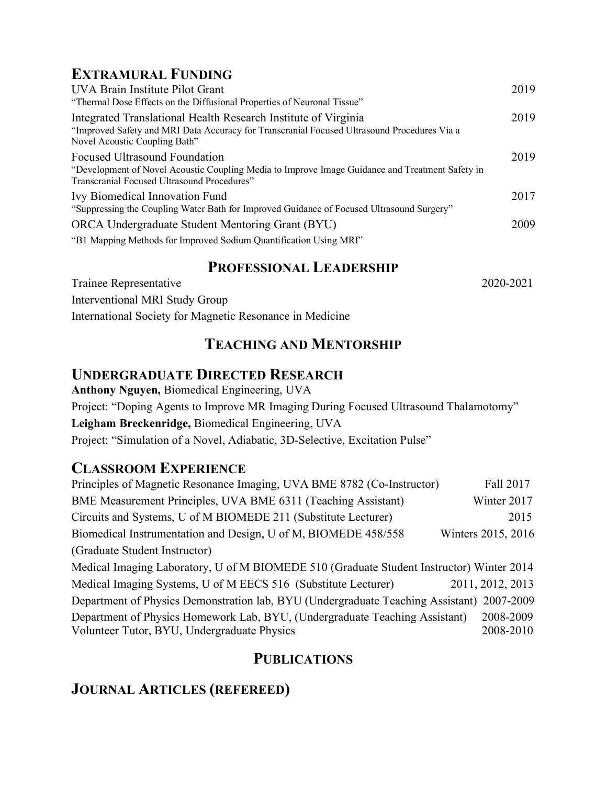# **EXTRAMURAL FUNDING**

| UVA Brain Institute Pilot Grant<br>"Thermal Dose Effects on the Diffusional Properties of Neuronal Tissue"                                                                                     | 2019 |
|------------------------------------------------------------------------------------------------------------------------------------------------------------------------------------------------|------|
| Integrated Translational Health Research Institute of Virginia<br>"Improved Safety and MRI Data Accuracy for Transcranial Focused Ultrasound Procedures Via a<br>Novel Acoustic Coupling Bath" | 2019 |
| Focused Ultrasound Foundation<br>"Development of Novel Acoustic Coupling Media to Improve Image Guidance and Treatment Safety in<br>Transcranial Focused Ultrasound Procedures"                | 2019 |
| <b>Ivy Biomedical Innovation Fund</b><br>"Suppressing the Coupling Water Bath for Improved Guidance of Focused Ultrasound Surgery"                                                             | 2017 |
| ORCA Undergraduate Student Mentoring Grant (BYU)<br>"B1 Mapping Methods for Improved Sodium Quantification Using MRI"                                                                          | 2009 |

## **PROFESSIONAL LEADERSHIP**

Trainee Representative 2020-2021 Interventional MRI Study Group International Society for Magnetic Resonance in Medicine

# **TEACHING AND MENTORSHIP**

## **UNDERGRADUATE DIRECTED RESEARCH**

**Anthony Nguyen,** Biomedical Engineering, UVA Project: "Doping Agents to Improve MR Imaging During Focused Ultrasound Thalamotomy" **Leigham Breckenridge,** Biomedical Engineering, UVA Project: "Simulation of a Novel, Adiabatic, 3D-Selective, Excitation Pulse"

# **CLASSROOM EXPERIENCE**

| Principles of Magnetic Resonance Imaging, UVA BME 8782 (Co-Instructor)                    | Fall 2017          |
|-------------------------------------------------------------------------------------------|--------------------|
| BME Measurement Principles, UVA BME 6311 (Teaching Assistant)                             | Winter 2017        |
| Circuits and Systems, U of M BIOMEDE 211 (Substitute Lecturer)                            | 2015               |
| Biomedical Instrumentation and Design, U of M, BIOMEDE 458/558                            | Winters 2015, 2016 |
| (Graduate Student Instructor)                                                             |                    |
| Medical Imaging Laboratory, U of M BIOMEDE 510 (Graduate Student Instructor) Winter 2014  |                    |
| Medical Imaging Systems, U of M EECS 516 (Substitute Lecturer)                            | 2011, 2012, 2013   |
| Department of Physics Demonstration lab, BYU (Undergraduate Teaching Assistant) 2007-2009 |                    |
| Department of Physics Homework Lab, BYU, (Undergraduate Teaching Assistant)               | 2008-2009          |
| Volunteer Tutor, BYU, Undergraduate Physics                                               | 2008-2010          |

# **PUBLICATIONS**

# **JOURNAL ARTICLES (REFEREED)**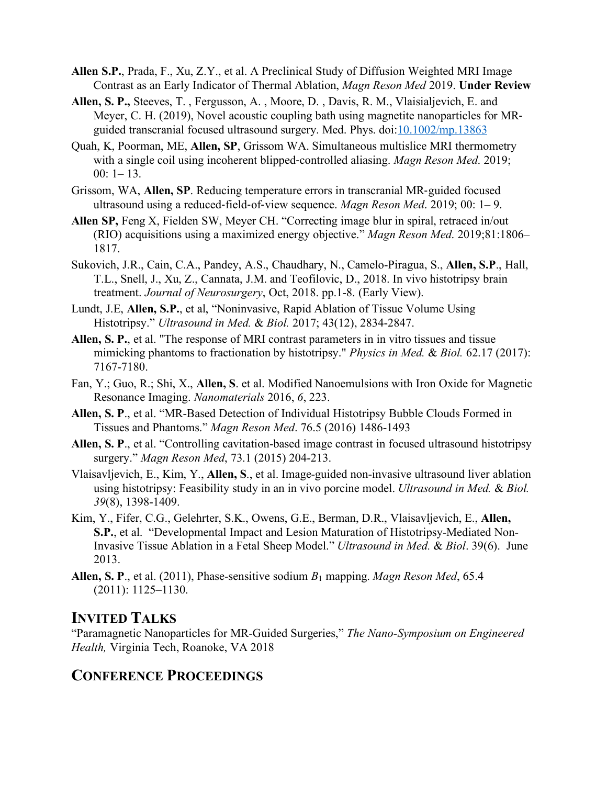- **Allen S.P.**, Prada, F., Xu, Z.Y., et al. A Preclinical Study of Diffusion Weighted MRI Image Contrast as an Early Indicator of Thermal Ablation, *Magn Reson Med* 2019. **Under Review**
- **Allen, S. P.,** Steeves, T. , Fergusson, A. , Moore, D. , Davis, R. M., Vlaisialjevich, E. and Meyer, C. H. (2019), Novel acoustic coupling bath using magnetite nanoparticles for MRguided transcranial focused ultrasound surgery. Med. Phys. doi: 10.1002/mp.13863
- Quah, K, Poorman, ME, **Allen, SP**, Grissom WA. Simultaneous multislice MRI thermometry with a single coil using incoherent blipped-controlled aliasing. *Magn Reson Med*. 2019; 00: 1– 13.
- Grissom, WA, **Allen, SP**. Reducing temperature errors in transcranial MR-guided focused ultrasound using a reduced-field-of-view sequence. *Magn Reson Med*. 2019; 00: 1– 9.
- **Allen SP,** Feng X, Fielden SW, Meyer CH. "Correcting image blur in spiral, retraced in/out (RIO) acquisitions using a maximized energy objective." *Magn Reson Med*. 2019;81:1806– 1817.
- Sukovich, J.R., Cain, C.A., Pandey, A.S., Chaudhary, N., Camelo-Piragua, S., **Allen, S.P**., Hall, T.L., Snell, J., Xu, Z., Cannata, J.M. and Teofilovic, D., 2018. In vivo histotripsy brain treatment. *Journal of Neurosurgery*, Oct, 2018. pp.1-8. (Early View).
- Lundt, J.E, **Allen, S.P.**, et al, "Noninvasive, Rapid Ablation of Tissue Volume Using Histotripsy." *Ultrasound in Med.* & *Biol.* 2017; 43(12), 2834-2847.
- **Allen, S. P.**, et al. "The response of MRI contrast parameters in in vitro tissues and tissue mimicking phantoms to fractionation by histotripsy." *Physics in Med.* & *Biol.* 62.17 (2017): 7167-7180.
- Fan, Y.; Guo, R.; Shi, X., **Allen, S**. et al. Modified Nanoemulsions with Iron Oxide for Magnetic Resonance Imaging. *Nanomaterials* 2016, *6*, 223.
- **Allen, S. P**., et al. "MR-Based Detection of Individual Histotripsy Bubble Clouds Formed in Tissues and Phantoms." *Magn Reson Med*. 76.5 (2016) 1486-1493
- **Allen, S. P**., et al. "Controlling cavitation-based image contrast in focused ultrasound histotripsy surgery." *Magn Reson Med*, 73.1 (2015) 204-213.
- Vlaisavljevich, E., Kim, Y., **Allen, S**., et al. Image-guided non-invasive ultrasound liver ablation using histotripsy: Feasibility study in an in vivo porcine model. *Ultrasound in Med.* & *Biol. 39*(8), 1398-1409.
- Kim, Y., Fifer, C.G., Gelehrter, S.K., Owens, G.E., Berman, D.R., Vlaisavljevich, E., **Allen, S.P.**, et al. "Developmental Impact and Lesion Maturation of Histotripsy-Mediated Non-Invasive Tissue Ablation in a Fetal Sheep Model." *Ultrasound in Med.* & *Biol*. 39(6). June 2013.
- **Allen, S. P**., et al. (2011), Phase-sensitive sodium *B*<sup>1</sup> mapping. *Magn Reson Med*, 65.4 (2011): 1125–1130.

# **INVITED TALKS**

"Paramagnetic Nanoparticles for MR-Guided Surgeries," *The Nano-Symposium on Engineered Health,* Virginia Tech, Roanoke, VA 2018

# **CONFERENCE PROCEEDINGS**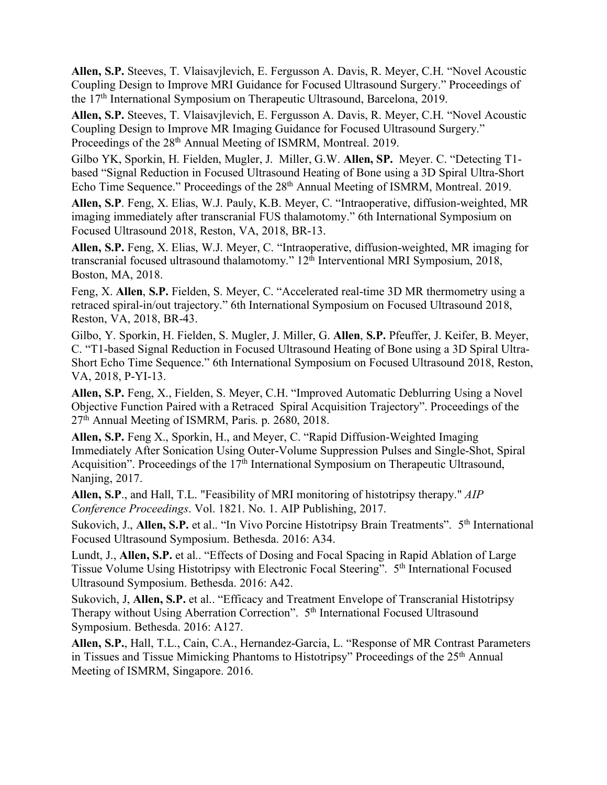**Allen, S.P.** Steeves, T. Vlaisavjlevich, E. Fergusson A. Davis, R. Meyer, C.H. "Novel Acoustic Coupling Design to Improve MRI Guidance for Focused Ultrasound Surgery." Proceedings of the 17th International Symposium on Therapeutic Ultrasound, Barcelona, 2019.

**Allen, S.P.** Steeves, T. Vlaisavjlevich, E. Fergusson A. Davis, R. Meyer, C.H. "Novel Acoustic Coupling Design to Improve MR Imaging Guidance for Focused Ultrasound Surgery." Proceedings of the 28<sup>th</sup> Annual Meeting of ISMRM, Montreal. 2019.

Gilbo YK, Sporkin, H. Fielden, Mugler, J. Miller, G.W. **Allen, SP.** Meyer. C. "Detecting T1 based "Signal Reduction in Focused Ultrasound Heating of Bone using a 3D Spiral Ultra-Short Echo Time Sequence." Proceedings of the 28<sup>th</sup> Annual Meeting of ISMRM, Montreal. 2019.

**Allen, S.P**. Feng, X. Elias, W.J. Pauly, K.B. Meyer, C. "Intraoperative, diffusion-weighted, MR imaging immediately after transcranial FUS thalamotomy." 6th International Symposium on Focused Ultrasound 2018, Reston, VA, 2018, BR-13.

**Allen, S.P.** Feng, X. Elias, W.J. Meyer, C. "Intraoperative, diffusion-weighted, MR imaging for transcranial focused ultrasound thalamotomy." 12<sup>th</sup> Interventional MRI Symposium, 2018, Boston, MA, 2018.

Feng, X. **Allen**, **S.P.** Fielden, S. Meyer, C. "Accelerated real-time 3D MR thermometry using a retraced spiral-in/out trajectory." 6th International Symposium on Focused Ultrasound 2018, Reston, VA, 2018, BR-43.

Gilbo, Y. Sporkin, H. Fielden, S. Mugler, J. Miller, G. **Allen**, **S.P.** Pfeuffer, J. Keifer, B. Meyer, C. "T1-based Signal Reduction in Focused Ultrasound Heating of Bone using a 3D Spiral Ultra-Short Echo Time Sequence." 6th International Symposium on Focused Ultrasound 2018, Reston, VA, 2018, P-YI-13.

**Allen, S.P.** Feng, X., Fielden, S. Meyer, C.H. "Improved Automatic Deblurring Using a Novel Objective Function Paired with a Retraced Spiral Acquisition Trajectory". Proceedings of the 27th Annual Meeting of ISMRM, Paris. p. 2680, 2018.

**Allen, S.P.** Feng X., Sporkin, H., and Meyer, C. "Rapid Diffusion-Weighted Imaging Immediately After Sonication Using Outer-Volume Suppression Pulses and Single-Shot, Spiral Acquisition". Proceedings of the 17<sup>th</sup> International Symposium on Therapeutic Ultrasound, Nanjing, 2017.

**Allen, S.P**., and Hall, T.L. "Feasibility of MRI monitoring of histotripsy therapy." *AIP Conference Proceedings*. Vol. 1821. No. 1. AIP Publishing, 2017.

Sukovich, J., **Allen, S.P.** et al.. "In Vivo Porcine Histotripsy Brain Treatments". 5<sup>th</sup> International Focused Ultrasound Symposium. Bethesda. 2016: A34.

Lundt, J., **Allen, S.P.** et al.. "Effects of Dosing and Focal Spacing in Rapid Ablation of Large Tissue Volume Using Histotripsy with Electronic Focal Steering". 5th International Focused Ultrasound Symposium. Bethesda. 2016: A42.

Sukovich, J, **Allen, S.P.** et al.. "Efficacy and Treatment Envelope of Transcranial Histotripsy Therapy without Using Aberration Correction". 5<sup>th</sup> International Focused Ultrasound Symposium. Bethesda. 2016: A127.

**Allen, S.P.**, Hall, T.L., Cain, C.A., Hernandez-Garcia, L. "Response of MR Contrast Parameters in Tissues and Tissue Mimicking Phantoms to Histotripsy" Proceedings of the 25<sup>th</sup> Annual Meeting of ISMRM, Singapore. 2016.